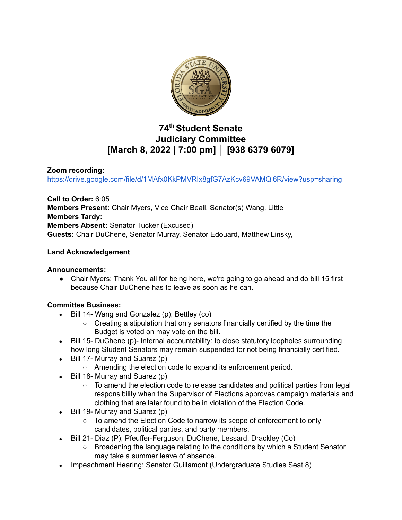

# **74 th Student Senate Judiciary Committee [March 8, 2022 | 7:00 pm] │ [938 6379 6079]**

## **Zoom recording:**

<https://drive.google.com/file/d/1MAfx0KkPMVRIx8gfG7AzKcv69VAMQi6R/view?usp=sharing>

**Call to Order:** 6:05 **Members Present:** Chair Myers, Vice Chair Beall, Senator(s) Wang, Little **Members Tardy: Members Absent:** Senator Tucker (Excused) **Guests:** Chair DuChene, Senator Murray, Senator Edouard, Matthew Linsky,

# **Land Acknowledgement**

## **Announcements:**

● Chair Myers: Thank You all for being here, we're going to go ahead and do bill 15 first because Chair DuChene has to leave as soon as he can.

## **Committee Business:**

- **●** Bill 14- Wang and Gonzalez (p); Bettley (co)
	- **○** Creating a stipulation that only senators financially certified by the time the Budget is voted on may vote on the bill.
- Bill 15- DuChene (p)- Internal accountability: to close statutory loopholes surrounding how long Student Senators may remain suspended for not being financially certified.
- $\bullet$  Bill 17- Murray and Suarez (p)
	- Amending the election code to expand its enforcement period.
- Bill 18- Murray and Suarez (p)
	- To amend the election code to release candidates and political parties from legal responsibility when the Supervisor of Elections approves campaign materials and clothing that are later found to be in violation of the Election Code.
- Bill 19- Murray and Suarez (p)
	- To amend the Election Code to narrow its scope of enforcement to only candidates, political parties, and party members.
- Bill 21- Diaz (P); Pfeuffer-Ferguson, DuChene, Lessard, Drackley (Co)
	- Broadening the language relating to the conditions by which a Student Senator may take a summer leave of absence.
- Impeachment Hearing: Senator Guillamont (Undergraduate Studies Seat 8)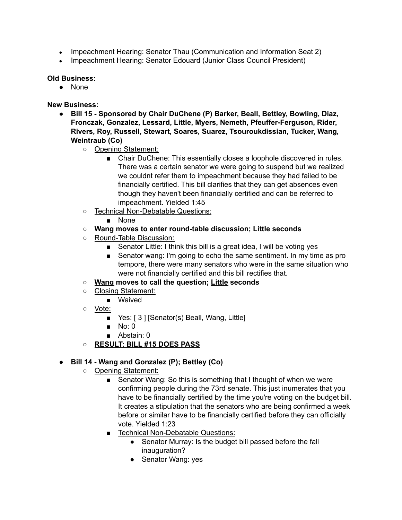- Impeachment Hearing: Senator Thau (Communication and Information Seat 2)
- Impeachment Hearing: Senator Edouard (Junior Class Council President)

#### **Old Business:**

● None

#### **New Business:**

- **● Bill 15 - Sponsored by Chair DuChene (P) Barker, Beall, Bettley, Bowling, Diaz, Fronczak, Gonzalez, Lessard, Little, Myers, Nemeth, Pfeuffer-Ferguson, Rider, Rivers, Roy, Russell, Stewart, Soares, Suarez, Tsouroukdissian, Tucker, Wang, Weintraub (Co)**
	- Opening Statement:
		- Chair DuChene: This essentially closes a loophole discovered in rules. There was a certain senator we were going to suspend but we realized we couldnt refer them to impeachment because they had failed to be financially certified. This bill clarifies that they can get absences even though they haven't been financially certified and can be referred to impeachment. Yielded 1:45
	- Technical Non-Debatable Questions:
		- None
	- **○ Wang moves to enter round-table discussion; Little seconds**
	- Round-Table Discussion:
		- Senator Little: I think this bill is a great idea, I will be voting yes
		- Senator wang: I'm going to echo the same sentiment. In my time as pro tempore, there were many senators who were in the same situation who were not financially certified and this bill rectifies that.
	- **○ Wang moves to call the question; Little seconds**
	- Closing Statement:
		- Waived
	- Vote:
		- Yes: [ 3 ] [Senator(s) Beall, Wang, Little]
		- $\blacksquare$  No: 0
		- Abstain: 0
	- **○ RESULT: BILL #15 DOES PASS**

## **● Bill 14 - Wang and Gonzalez (P); Bettley (Co)**

- Opening Statement:
	- Senator Wang: So this is something that I thought of when we were confirming people during the 73rd senate. This just inumerates that you have to be financially certified by the time you're voting on the budget bill. It creates a stipulation that the senators who are being confirmed a week before or similar have to be financially certified before they can officially vote. Yielded 1:23
	- Technical Non-Debatable Questions:
		- Senator Murray: Is the budget bill passed before the fall inauguration?
		- Senator Wang: yes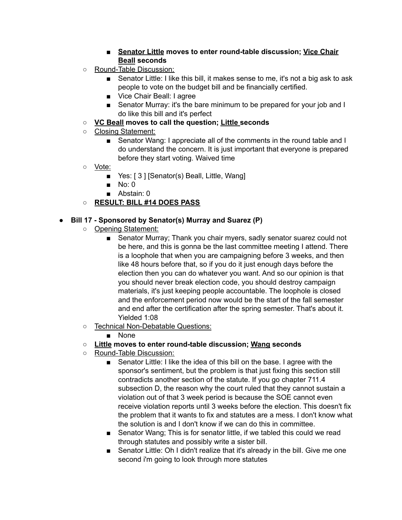## ■ **Senator Little moves to enter round-table discussion; Vice Chair Beall seconds**

- Round-Table Discussion:
	- Senator Little: I like this bill, it makes sense to me, it's not a big ask to ask people to vote on the budget bill and be financially certified.
	- Vice Chair Beall: I agree
	- Senator Murray: it's the bare minimum to be prepared for your job and I do like this bill and it's perfect
- **○ VC Beall moves to call the question; Little seconds**
- Closing Statement:
	- Senator Wang: I appreciate all of the comments in the round table and I do understand the concern. It is just important that everyone is prepared before they start voting. Waived time
- Vote:
	- Yes: [ 3 ] [Senator(s) Beall, Little, Wang]
	- No: 0
	- Abstain: 0

# **○ RESULT: BILL #14 DOES PASS**

## **● Bill 17 - Sponsored by Senator(s) Murray and Suarez (P)**

- Opening Statement:
	- Senator Murray; Thank you chair myers, sadly senator suarez could not be here, and this is gonna be the last committee meeting I attend. There is a loophole that when you are campaigning before 3 weeks, and then like 48 hours before that, so if you do it just enough days before the election then you can do whatever you want. And so our opinion is that you should never break election code, you should destroy campaign materials, it's just keeping people accountable. The loophole is closed and the enforcement period now would be the start of the fall semester and end after the certification after the spring semester. That's about it. Yielded 1:08
- Technical Non-Debatable Questions:
	- None

## **○ Little moves to enter round-table discussion; Wang seconds**

- Round-Table Discussion:
	- Senator Little: I like the idea of this bill on the base. I agree with the sponsor's sentiment, but the problem is that just fixing this section still contradicts another section of the statute. If you go chapter 711.4 subsection D, the reason why the court ruled that they cannot sustain a violation out of that 3 week period is because the SOE cannot even receive violation reports until 3 weeks before the election. This doesn't fix the problem that it wants to fix and statutes are a mess. I don't know what the solution is and I don't know if we can do this in committee.
	- Senator Wang; This is for senator little, if we tabled this could we read through statutes and possibly write a sister bill.
	- Senator Little: Oh I didn't realize that it's already in the bill. Give me one second i'm going to look through more statutes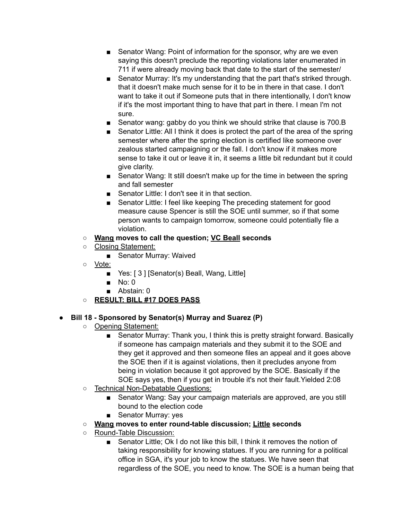- Senator Wang: Point of information for the sponsor, why are we even saying this doesn't preclude the reporting violations later enumerated in 711 if were already moving back that date to the start of the semester/
- Senator Murray: It's my understanding that the part that's striked through. that it doesn't make much sense for it to be in there in that case. I don't want to take it out if Someone puts that in there intentionally, I don't know if it's the most important thing to have that part in there. I mean I'm not sure.
- Senator wang: gabby do you think we should strike that clause is 700.B
- Senator Little: All I think it does is protect the part of the area of the spring semester where after the spring election is certified like someone over zealous started campaigning or the fall. I don't know if it makes more sense to take it out or leave it in, it seems a little bit redundant but it could give clarity.
- Senator Wang: It still doesn't make up for the time in between the spring and fall semester
- Senator Little: I don't see it in that section.
- Senator Little: I feel like keeping The preceding statement for good measure cause Spencer is still the SOE until summer, so if that some person wants to campaign tomorrow, someone could potentially file a violation.
- **○ Wang moves to call the question; VC Beall seconds**
- Closing Statement:
	- Senator Murray: Waived
- Vote:
	- Yes: [ 3 ] [Senator(s) Beall, Wang, Little]
	- No: 0
	- Abstain: 0
- **○ RESULT: BILL #17 DOES PASS**

# **● Bill 18 - Sponsored by Senator(s) Murray and Suarez (P)**

- Opening Statement:
	- Senator Murray: Thank you, I think this is pretty straight forward. Basically if someone has campaign materials and they submit it to the SOE and they get it approved and then someone files an appeal and it goes above the SOE then if it is against violations, then it precludes anyone from being in violation because it got approved by the SOE. Basically if the SOE says yes, then if you get in trouble it's not their fault.Yielded 2:08
- Technical Non-Debatable Questions:
	- Senator Wang: Say your campaign materials are approved, are you still bound to the election code
	- Senator Murray: yes
- **○ Wang moves to enter round-table discussion; Little seconds**
- Round-Table Discussion:
	- Senator Little; Ok I do not like this bill, I think it removes the notion of taking responsibility for knowing statues. If you are running for a political office in SGA, it's your job to know the statues. We have seen that regardless of the SOE, you need to know. The SOE is a human being that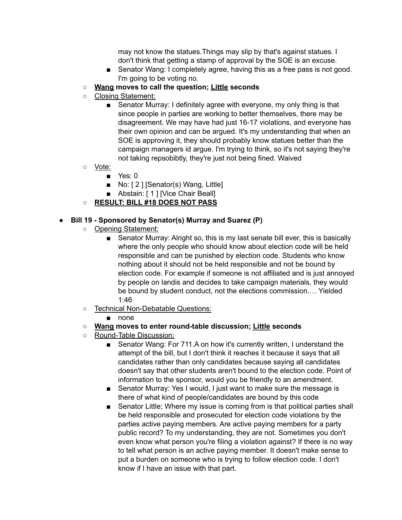may not know the statues.Things may slip by that's against statues. I don't think that getting a stamp of approval by the SOE is an excuse.

- Senator Wang: I completely agree, having this as a free pass is not good. I'm going to be voting no.
- **Wang moves to call the question; Little seconds**
- Closing Statement:
	- Senator Murray: I definitely agree with everyone, my only thing is that since people in parties are working to better themselves, there may be disagreement. We may have had just 16-17 violations, and everyone has their own opinion and can be argued. It's my understanding that when an SOE is approving it, they should probably know statues better than the campaign managers id argue. I'm trying to think, so it's not saying they're not taking repsobibtly, they're just not being fined. Waived
- Vote:
	- Yes: 0
	- No: [2] [Senator(s) Wang, Little]
	- Abstain: [ 1 ] [Vice Chair Beall]
- **○ RESULT: BILL #18 DOES NOT PASS**

#### **● Bill 19 - Sponsored by Senator(s) Murray and Suarez (P)**

- Opening Statement:
	- Senator Murray: Alright so, this is my last senate bill ever, this is basically where the only people who should know about election code will be held responsible and can be punished by election code. Students who know nothing about it should not be held responsible and not be bound by election code. For example if someone is not affiliated and is just annoyed by people on landis and decides to take campaign materials, they would be bound by student conduct, not the elections commission.… Yielded 1:46
- Technical Non-Debatable Questions:
	- none
- **○ Wang moves to enter round-table discussion; Little seconds**
- Round-Table Discussion:
	- Senator Wang: For 711.A on how it's currently written, I understand the attempt of the bill, but I don't think it reaches it because it says that all candidates rather than only candidates because saying all candidates doesn't say that other students aren't bound to the election code. Point of information to the sponsor, would you be friendly to an amendment.
	- Senator Murray: Yes I would, I just want to make sure the message is there of what kind of people/candidates are bound by this code
	- Senator Little; Where my issue is coming from is that political parties shall be held responsible and prosecuted for election code violations by the parties active paying members. Are active paying members for a party public record? To my understanding, they are not. Sometimes you don't even know what person you're filing a violation against? If there is no way to tell what person is an active paying member. It doesn't make sense to put a burden on someone who is trying to follow election code. I don't know if I have an issue with that part.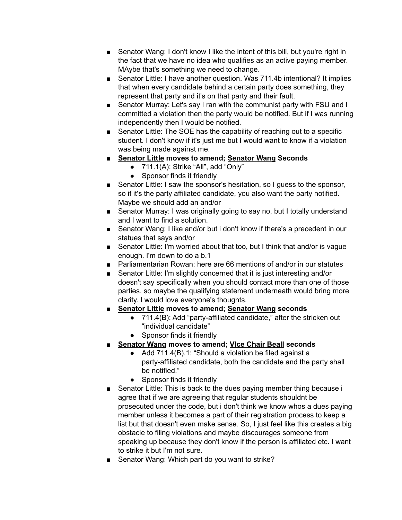- Senator Wang: I don't know I like the intent of this bill, but you're right in the fact that we have no idea who qualifies as an active paying member. MAybe that's something we need to change.
- Senator Little: I have another question. Was 711.4b intentional? It implies that when every candidate behind a certain party does something, they represent that party and it's on that party and their fault.
- Senator Murray: Let's say I ran with the communist party with FSU and I committed a violation then the party would be notified. But if I was running independently then I would be notified.
- Senator Little: The SOE has the capability of reaching out to a specific student. I don't know if it's just me but I would want to know if a violation was being made against me.
- **■ Senator Little moves to amend; Senator Wang Seconds**
	- $\bullet$  711.1(A): Strike "All", add "Only"
	- Sponsor finds it friendly
- Senator Little: I saw the sponsor's hesitation, so I guess to the sponsor, so if it's the party affiliated candidate, you also want the party notified. Maybe we should add an and/or
- Senator Murray: I was originally going to say no, but I totally understand and I want to find a solution.
- Senator Wang; I like and/or but i don't know if there's a precedent in our statues that says and/or
- Senator Little: I'm worried about that too, but I think that and/or is vague enough. I'm down to do a b.1
- Parliamentarian Rowan: here are 66 mentions of and/or in our statutes
- Senator Little: I'm slightly concerned that it is just interesting and/or doesn't say specifically when you should contact more than one of those parties, so maybe the qualifying statement underneath would bring more clarity. I would love everyone's thoughts.
- **■ Senator Little moves to amend; Senator Wang seconds**
	- 711.4(B): Add "party-affiliated candidate," after the stricken out "individual candidate"
	- Sponsor finds it friendly
- **■ Senator Wang moves to amend; VIce Chair Beall seconds**
	- Add 711.4(B).1: "Should a violation be filed against a party-affiliated candidate, both the candidate and the party shall be notified."
	- Sponsor finds it friendly
- Senator Little: This is back to the dues paying member thing because i agree that if we are agreeing that regular students shouldnt be prosecuted under the code, but i don't think we know whos a dues paying member unless it becomes a part of their registration process to keep a list but that doesn't even make sense. So, I just feel like this creates a big obstacle to filing violations and maybe discourages someone from speaking up because they don't know if the person is affiliated etc. I want to strike it but I'm not sure.
- Senator Wang: Which part do you want to strike?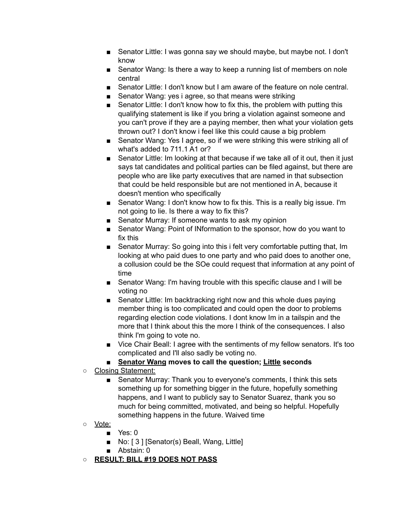- Senator Little: I was gonna say we should maybe, but maybe not. I don't know
- Senator Wang: Is there a way to keep a running list of members on nole central
- Senator Little: I don't know but I am aware of the feature on nole central.
- Senator Wang: yes i agree, so that means were striking
- Senator Little: I don't know how to fix this, the problem with putting this qualifying statement is like if you bring a violation against someone and you can't prove if they are a paying member, then what your violation gets thrown out? I don't know i feel like this could cause a big problem
- Senator Wang: Yes I agree, so if we were striking this were striking all of what's added to 711.1 A1 or?
- Senator Little: Im looking at that because if we take all of it out, then it just says tat candidates and political parties can be filed against, but there are people who are like party executives that are named in that subsection that could be held responsible but are not mentioned in A, because it doesn't mention who specifically
- Senator Wang: I don't know how to fix this. This is a really big issue. I'm not going to lie. Is there a way to fix this?
- Senator Murray: If someone wants to ask my opinion
- Senator Wang: Point of INformation to the sponsor, how do you want to fix this
- Senator Murray: So going into this i felt very comfortable putting that, Im looking at who paid dues to one party and who paid does to another one, a collusion could be the SOe could request that information at any point of time
- Senator Wang: I'm having trouble with this specific clause and I will be voting no
- Senator Little: Im backtracking right now and this whole dues paying member thing is too complicated and could open the door to problems regarding election code violations. I dont know Im in a tailspin and the more that I think about this the more I think of the consequences. I also think I'm going to vote no.
- Vice Chair Beall: I agree with the sentiments of my fellow senators. It's too complicated and I'll also sadly be voting no.
- **Senator Wang moves to call the question; Little seconds**
- Closing Statement:
	- Senator Murray: Thank you to everyone's comments, I think this sets something up for something bigger in the future, hopefully something happens, and I want to publicly say to Senator Suarez, thank you so much for being committed, motivated, and being so helpful. Hopefully something happens in the future. Waived time
- Vote:
	- Yes: 0
	- No: [3] [Senator(s) Beall, Wang, Little]
	- Abstain: 0
- **○ RESULT: BILL #19 DOES NOT PASS**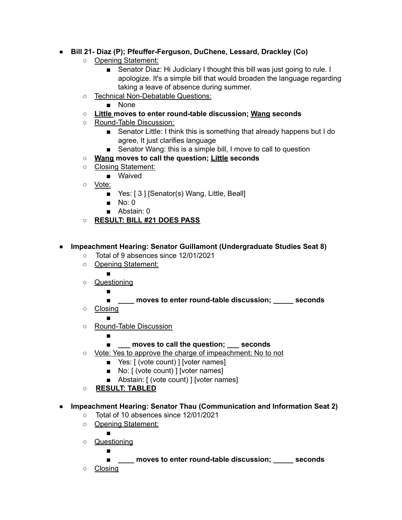# **● Bill 21- Diaz (P); Pfeuffer-Ferguson, DuChene, Lessard, Drackley (Co)**

- Opening Statement:
	- Senator Diaz: Hi Judiciary I thought this bill was just going to rule. I apologize. It's a simple bill that would broaden the language regarding taking a leave of absence during summer.
- Technical Non-Debatable Questions:
	- None
- **○ Little moves to enter round-table discussion; Wang seconds**
- Round-Table Discussion:
	- Senator Little: I think this is something that already happens but I do agree, It just clarifies language
	- Senator Wang: this is a simple bill, I move to call to question
- **○ Wang moves to call the question; Little seconds**
- Closing Statement:
	- Waived
- Vote:
	- Yes: [ 3 ] [Senator(s) Wang, Little, Beall]
	- No: 0
	- Abstain: 0
- **○ RESULT: BILL #21 DOES PASS**

## **● Impeachment Hearing: Senator Guillamont (Undergraduate Studies Seat 8)**

- **○** Total of 9 absences since 12/01/2021
- Opening Statement:

■

- Questioning
	- - **■ \_\_\_\_ moves to enter round-table discussion; \_\_\_\_\_ seconds**
- Closing
- ○ Round-Table Discussion
	- - **\_\_\_ moves to call the question; \_\_\_ seconds**
- Vote: Yes to approve the charge of impeachment; No to not
	- Yes: [ (vote count) ] [voter names]
	- No: [ (vote count) ] [voter names]
	- Abstain: [ (vote count) ] [voter names]

○ **RESULT: TABLED**

- **● Impeachment Hearing: Senator Thau (Communication and Information Seat 2)**
	- **○** Total of 10 absences since 12/01/2021
	- Opening Statement:

- ○ Questioning ■
- **■ \_\_\_\_ moves to enter round-table discussion; \_\_\_\_\_ seconds** ○ Closing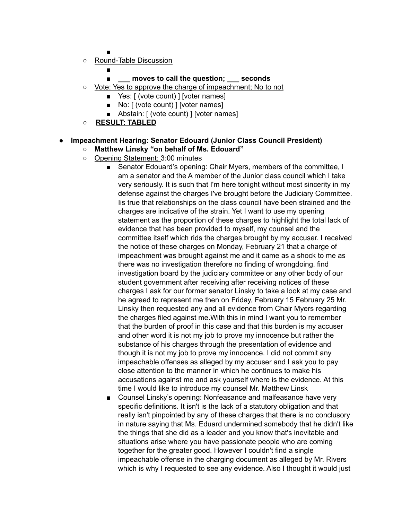- ■
- Round-Table Discussion
	- ■
	- **\_\_\_ moves to call the question; \_\_\_ seconds**
- Vote: Yes to approve the charge of impeachment; No to not
	- Yes: [ (vote count) ] [voter names]
	- No: [ (vote count) ] [voter names]
	- Abstain: [ (vote count) ] [voter names]
- **RESULT: TABLED**

# **● Impeachment Hearing: Senator Edouard (Junior Class Council President)**

- **○ Matthew Linsky "on behalf of Ms. Edouard"**
- Opening Statement: 3:00 minutes
	- Senator Edouard's opening: Chair Myers, members of the committee, I am a senator and the A member of the Junior class council which I take very seriously. It is such that I'm here tonight without most sincerity in my defense against the charges I've brought before the Judiciary Committee. Iis true that relationships on the class council have been strained and the charges are indicative of the strain. Yet I want to use my opening statement as the proportion of these charges to highlight the total lack of evidence that has been provided to myself, my counsel and the committee itself which rids the charges brought by my accuser. I received the notice of these charges on Monday, February 21 that a charge of impeachment was brought against me and it came as a shock to me as there was no investigation therefore no finding of wrongdoing. find investigation board by the judiciary committee or any other body of our student government after receiving after receiving notices of these charges I ask for our former senator Linsky to take a look at my case and he agreed to represent me then on Friday, February 15 February 25 Mr. Linsky then requested any and all evidence from Chair Myers regarding the charges filed against me.With this in mind I want you to remember that the burden of proof in this case and that this burden is my accuser and other word it is not my job to prove my innocence but rather the substance of his charges through the presentation of evidence and though it is not my job to prove my innocence. I did not commit any impeachable offenses as alleged by my accuser and I ask you to pay close attention to the manner in which he continues to make his accusations against me and ask yourself where is the evidence. At this time I would like to introduce my counsel Mr. Matthew Linsk
	- Counsel Linsky's opening: Nonfeasance and malfeasance have very specific definitions. It isn't is the lack of a statutory obligation and that really isn't pinpointed by any of these charges that there is no conclusory in nature saying that Ms. Eduard undermined somebody that he didn't like the things that she did as a leader and you know that's inevitable and situations arise where you have passionate people who are coming together for the greater good. However I couldn't find a single impeachable offense in the charging document as alleged by Mr. Rivers which is why I requested to see any evidence. Also I thought it would just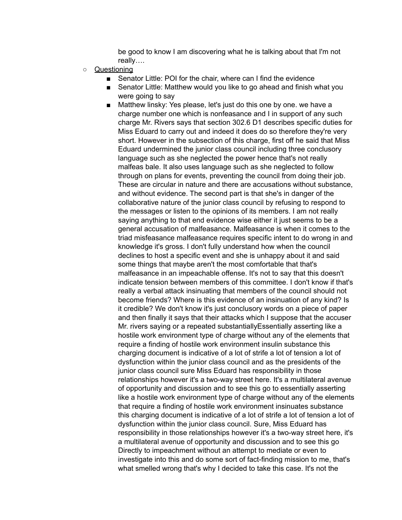be good to know I am discovering what he is talking about that I'm not really….

- Questioning
	- Senator Little: POI for the chair, where can I find the evidence
	- Senator Little: Matthew would you like to go ahead and finish what you were going to say
	- Matthew linsky: Yes please, let's just do this one by one. we have a charge number one which is nonfeasance and I in support of any such charge Mr. Rivers says that section 302.6 D1 describes specific duties for Miss Eduard to carry out and indeed it does do so therefore they're very short. However in the subsection of this charge, first off he said that Miss Eduard undermined the junior class council including three conclusory language such as she neglected the power hence that's not really malfeas bale. It also uses language such as she neglected to follow through on plans for events, preventing the council from doing their job. These are circular in nature and there are accusations without substance, and without evidence. The second part is that she's in danger of the collaborative nature of the junior class council by refusing to respond to the messages or listen to the opinions of its members. I am not really saying anything to that end evidence wise either it just seems to be a general accusation of malfeasance. Malfeasance is when it comes to the triad misfeasance malfeasance requires specific intent to do wrong in and knowledge it's gross. I don't fully understand how when the council declines to host a specific event and she is unhappy about it and said some things that maybe aren't the most comfortable that that's malfeasance in an impeachable offense. It's not to say that this doesn't indicate tension between members of this committee. I don't know if that's really a verbal attack insinuating that members of the council should not become friends? Where is this evidence of an insinuation of any kind? Is it credible? We don't know it's just conclusory words on a piece of paper and then finally it says that their attacks which I suppose that the accuser Mr. rivers saying or a repeated substantiallyEssentially asserting like a hostile work environment type of charge without any of the elements that require a finding of hostile work environment insulin substance this charging document is indicative of a lot of strife a lot of tension a lot of dysfunction within the junior class council and as the presidents of the junior class council sure Miss Eduard has responsibility in those relationships however it's a two-way street here. It's a multilateral avenue of opportunity and discussion and to see this go to essentially asserting like a hostile work environment type of charge without any of the elements that require a finding of hostile work environment insinuates substance this charging document is indicative of a lot of strife a lot of tension a lot of dysfunction within the junior class council. Sure, Miss Eduard has responsibility in those relationships however it's a two-way street here, it's a multilateral avenue of opportunity and discussion and to see this go Directly to impeachment without an attempt to mediate or even to investigate into this and do some sort of fact-finding mission to me, that's what smelled wrong that's why I decided to take this case. It's not the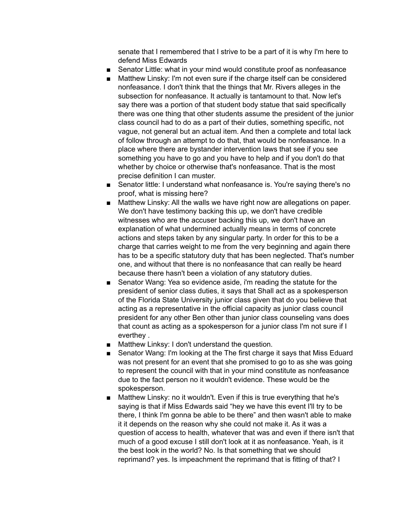senate that I remembered that I strive to be a part of it is why I'm here to defend Miss Edwards

- Senator Little: what in your mind would constitute proof as nonfeasance
- Matthew Linsky: I'm not even sure if the charge itself can be considered nonfeasance. I don't think that the things that Mr. Rivers alleges in the subsection for nonfeasance. It actually is tantamount to that. Now let's say there was a portion of that student body statue that said specifically there was one thing that other students assume the president of the junior class council had to do as a part of their duties, something specific, not vague, not general but an actual item. And then a complete and total lack of follow through an attempt to do that, that would be nonfeasance. In a place where there are bystander intervention laws that see if you see something you have to go and you have to help and if you don't do that whether by choice or otherwise that's nonfeasance. That is the most precise definition I can muster.
- Senator little: I understand what nonfeasance is. You're saying there's no proof, what is missing here?
- Matthew Linsky: All the walls we have right now are allegations on paper. We don't have testimony backing this up, we don't have credible witnesses who are the accuser backing this up, we don't have an explanation of what undermined actually means in terms of concrete actions and steps taken by any singular party. In order for this to be a charge that carries weight to me from the very beginning and again there has to be a specific statutory duty that has been neglected. That's number one, and without that there is no nonfeasance that can really be heard because there hasn't been a violation of any statutory duties.
- Senator Wang: Yea so evidence aside, i'm reading the statute for the president of senior class duties, it says that Shall act as a spokesperson of the Florida State University junior class given that do you believe that acting as a representative in the official capacity as junior class council president for any other Ben other than junior class counseling vans does that count as acting as a spokesperson for a junior class I'm not sure if I everthey .
- Matthew Linksy: I don't understand the question.
- Senator Wang: I'm looking at the The first charge it says that Miss Eduard was not present for an event that she promised to go to as she was going to represent the council with that in your mind constitute as nonfeasance due to the fact person no it wouldn't evidence. These would be the spokesperson.
- Matthew Linsky: no it wouldn't. Even if this is true everything that he's saying is that if Miss Edwards said "hey we have this event I'll try to be there, I think I'm gonna be able to be there" and then wasn't able to make it it depends on the reason why she could not make it. As it was a question of access to health, whatever that was and even if there isn't that much of a good excuse I still don't look at it as nonfeasance. Yeah, is it the best look in the world? No. Is that something that we should reprimand? yes. Is impeachment the reprimand that is fitting of that? I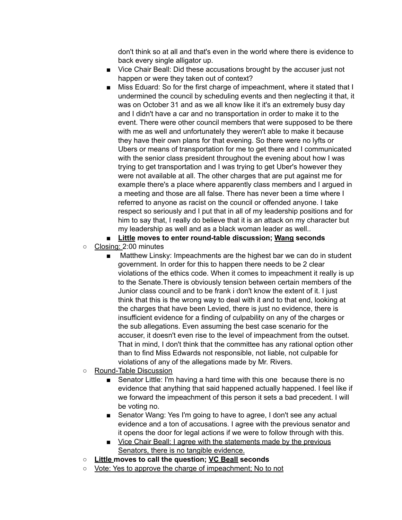don't think so at all and that's even in the world where there is evidence to back every single alligator up.

- Vice Chair Beall: Did these accusations brought by the accuser just not happen or were they taken out of context?
- Miss Eduard: So for the first charge of impeachment, where it stated that I undermined the council by scheduling events and then neglecting it that, it was on October 31 and as we all know like it it's an extremely busy day and I didn't have a car and no transportation in order to make it to the event. There were other council members that were supposed to be there with me as well and unfortunately they weren't able to make it because they have their own plans for that evening. So there were no lyfts or Ubers or means of transportation for me to get there and I communicated with the senior class president throughout the evening about how I was trying to get transportation and I was trying to get Uber's however they were not available at all. The other charges that are put against me for example there's a place where apparently class members and I argued in a meeting and those are all false. There has never been a time where I referred to anyone as racist on the council or offended anyone. I take respect so seriously and I put that in all of my leadership positions and for him to say that, I really do believe that it is an attack on my character but my leadership as well and as a black woman leader as well..
- **Little moves to enter round-table discussion; Wang seconds**
- Closing: 2:00 minutes
	- Matthew Linsky: Impeachments are the highest bar we can do in student government. In order for this to happen there needs to be 2 clear violations of the ethics code. When it comes to impeachment it really is up to the Senate.There is obviously tension between certain members of the Junior class council and to be frank i don't know the extent of it. I just think that this is the wrong way to deal with it and to that end, looking at the charges that have been Levied, there is just no evidence, there is insufficient evidence for a finding of culpability on any of the charges or the sub allegations. Even assuming the best case scenario for the accuser, it doesn't even rise to the level of impeachment from the outset. That in mind, I don't think that the committee has any rational option other than to find Miss Edwards not responsible, not liable, not culpable for violations of any of the allegations made by Mr. Rivers.
- Round-Table Discussion
	- Senator Little: I'm having a hard time with this one because there is no evidence that anything that said happened actually happened. I feel like if we forward the impeachment of this person it sets a bad precedent. I will be voting no.
	- Senator Wang: Yes I'm going to have to agree, I don't see any actual evidence and a ton of accusations. I agree with the previous senator and it opens the door for legal actions if we were to follow through with this.
	- Vice Chair Beall: I agree with the statements made by the previous Senators, there is no tangible evidence.
- **Little moves to call the question; VC Beall seconds**
- Vote: Yes to approve the charge of impeachment; No to not